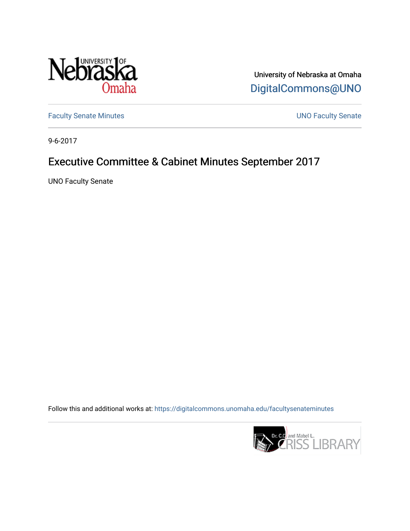

University of Nebraska at Omaha [DigitalCommons@UNO](https://digitalcommons.unomaha.edu/) 

[Faculty Senate Minutes](https://digitalcommons.unomaha.edu/facultysenateminutes) **Exercise Senate UNO Faculty Senate** 

9-6-2017

# Executive Committee & Cabinet Minutes September 2017

UNO Faculty Senate

Follow this and additional works at: [https://digitalcommons.unomaha.edu/facultysenateminutes](https://digitalcommons.unomaha.edu/facultysenateminutes?utm_source=digitalcommons.unomaha.edu%2Ffacultysenateminutes%2F103&utm_medium=PDF&utm_campaign=PDFCoverPages) 

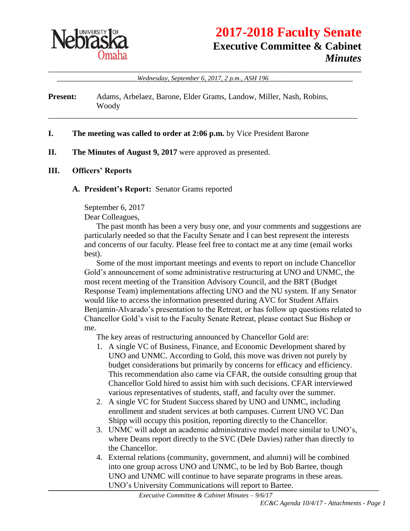

# **2017-2018 Faculty Senate Executive Committee & Cabinet** *Minutes*

\_\_\_\_\_\_\_\_\_\_\_\_\_\_\_\_\_\_\_\_\_\_\_\_\_\_\_\_\_\_\_\_\_\_\_\_\_\_\_\_\_\_\_\_\_\_\_\_\_\_\_\_\_\_\_\_\_\_\_\_\_\_\_\_\_\_\_\_\_\_\_\_\_\_\_\_\_\_ \_\_\_\_\_\_\_\_\_\_\_\_\_\_\_\_\_\_\_\_*Wednesday, September 6, 2017, 2 p.m., ASH 196*\_\_\_\_\_\_\_\_\_\_\_\_\_\_\_\_\_\_\_\_\_

\_\_\_\_\_\_\_\_\_\_\_\_\_\_\_\_\_\_\_\_\_\_\_\_\_\_\_\_\_\_\_\_\_\_\_\_\_\_\_\_\_\_\_\_\_\_\_\_\_\_\_\_\_\_\_\_\_\_\_\_\_\_\_\_\_\_\_\_\_\_\_\_\_\_\_\_\_

**Present:** Adams, Arbelaez, Barone, Elder Grams, Landow, Miller, Nash, Robins, Woody

#### **I. The meeting was called to order at 2:06 p.m.** by Vice President Barone

**II. The Minutes of August 9, 2017** were approved as presented.

#### **III. Officers' Reports**

#### **A. President's Report:** Senator Grams reported

September 6, 2017

Dear Colleagues,

The past month has been a very busy one, and your comments and suggestions are particularly needed so that the Faculty Senate and I can best represent the interests and concerns of our faculty. Please feel free to contact me at any time (email works best).

Some of the most important meetings and events to report on include Chancellor Gold's announcement of some administrative restructuring at UNO and UNMC, the most recent meeting of the Transition Advisory Council, and the BRT (Budget Response Team) implementations affecting UNO and the NU system. If any Senator would like to access the information presented during AVC for Student Affairs Benjamin-Alvarado's presentation to the Retreat, or has follow up questions related to Chancellor Gold's visit to the Faculty Senate Retreat, please contact Sue Bishop or me.

The key areas of restructuring announced by Chancellor Gold are:

- 1. A single VC of Business, Finance, and Economic Development shared by UNO and UNMC. According to Gold, this move was driven not purely by budget considerations but primarily by concerns for efficacy and efficiency. This recommendation also came via CFAR, the outside consulting group that Chancellor Gold hired to assist him with such decisions. CFAR interviewed various representatives of students, staff, and faculty over the summer.
- 2. A single VC for Student Success shared by UNO and UNMC, including enrollment and student services at both campuses. Current UNO VC Dan Shipp will occupy this position, reporting directly to the Chancellor.
- 3. UNMC will adopt an academic administrative model more similar to UNO's, where Deans report directly to the SVC (Dele Davies) rather than directly to the Chancellor.
- 4. External relations (community, government, and alumni) will be combined into one group across UNO and UNMC, to be led by Bob Bartee, though UNO and UNMC will continue to have separate programs in these areas. UNO's University Communications will report to Bartee.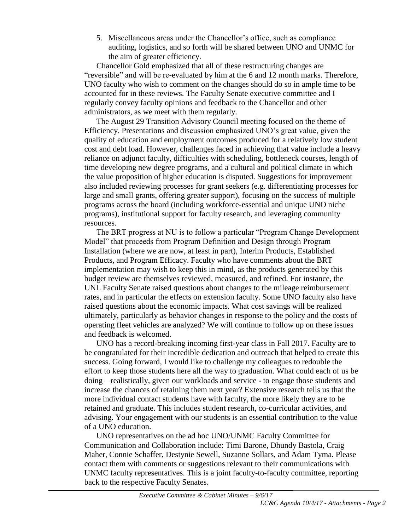5. Miscellaneous areas under the Chancellor's office, such as compliance auditing, logistics, and so forth will be shared between UNO and UNMC for the aim of greater efficiency.

Chancellor Gold emphasized that all of these restructuring changes are "reversible" and will be re-evaluated by him at the 6 and 12 month marks. Therefore, UNO faculty who wish to comment on the changes should do so in ample time to be accounted for in these reviews. The Faculty Senate executive committee and I regularly convey faculty opinions and feedback to the Chancellor and other administrators, as we meet with them regularly.

The August 29 Transition Advisory Council meeting focused on the theme of Efficiency. Presentations and discussion emphasized UNO's great value, given the quality of education and employment outcomes produced for a relatively low student cost and debt load. However, challenges faced in achieving that value include a heavy reliance on adjunct faculty, difficulties with scheduling, bottleneck courses, length of time developing new degree programs, and a cultural and political climate in which the value proposition of higher education is disputed. Suggestions for improvement also included reviewing processes for grant seekers (e.g. differentiating processes for large and small grants, offering greater support), focusing on the success of multiple programs across the board (including workforce-essential and unique UNO niche programs), institutional support for faculty research, and leveraging community resources.

The BRT progress at NU is to follow a particular "Program Change Development Model" that proceeds from Program Definition and Design through Program Installation (where we are now, at least in part), Interim Products, Established Products, and Program Efficacy. Faculty who have comments about the BRT implementation may wish to keep this in mind, as the products generated by this budget review are themselves reviewed, measured, and refined. For instance, the UNL Faculty Senate raised questions about changes to the mileage reimbursement rates, and in particular the effects on extension faculty. Some UNO faculty also have raised questions about the economic impacts. What cost savings will be realized ultimately, particularly as behavior changes in response to the policy and the costs of operating fleet vehicles are analyzed? We will continue to follow up on these issues and feedback is welcomed.

UNO has a record-breaking incoming first-year class in Fall 2017. Faculty are to be congratulated for their incredible dedication and outreach that helped to create this success. Going forward, I would like to challenge my colleagues to redouble the effort to keep those students here all the way to graduation. What could each of us be doing – realistically, given our workloads and service - to engage those students and increase the chances of retaining them next year? Extensive research tells us that the more individual contact students have with faculty, the more likely they are to be retained and graduate. This includes student research, co-curricular activities, and advising. Your engagement with our students is an essential contribution to the value of a UNO education.

UNO representatives on the ad hoc UNO/UNMC Faculty Committee for Communication and Collaboration include: Timi Barone, Dhundy Bastola, Craig Maher, Connie Schaffer, Destynie Sewell, Suzanne Sollars, and Adam Tyma. Please contact them with comments or suggestions relevant to their communications with UNMC faculty representatives. This is a joint faculty-to-faculty committee, reporting back to the respective Faculty Senates.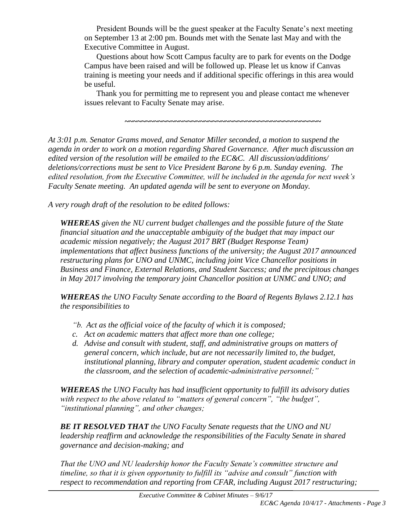President Bounds will be the guest speaker at the Faculty Senate's next meeting on September 13 at 2:00 pm. Bounds met with the Senate last May and with the Executive Committee in August.

Questions about how Scott Campus faculty are to park for events on the Dodge Campus have been raised and will be followed up. Please let us know if Canvas training is meeting your needs and if additional specific offerings in this area would be useful.

Thank you for permitting me to represent you and please contact me whenever issues relevant to Faculty Senate may arise.

**~~~~~~~~~~~~~~~~~~~~~~~~~~~~~~~~~~~~~~~~~~~~~~~**

*At 3:01 p.m. Senator Grams moved, and Senator Miller seconded, a motion to suspend the agenda in order to work on a motion regarding Shared Governance. After much discussion an edited version of the resolution will be emailed to the EC&C. All discussion/additions/ deletions/corrections must be sent to Vice President Barone by 6 p.m. Sunday evening. The edited resolution, from the Executive Committee, will be included in the agenda for next week's Faculty Senate meeting. An updated agenda will be sent to everyone on Monday.* 

*A very rough draft of the resolution to be edited follows:*

*WHEREAS given the NU current budget challenges and the possible future of the State financial situation and the unacceptable ambiguity of the budget that may impact our academic mission negatively; the August 2017 BRT (Budget Response Team) implementations that affect business functions of the university; the August 2017 announced restructuring plans for UNO and UNMC, including joint Vice Chancellor positions in Business and Finance, External Relations, and Student Success; and the precipitous changes in May 2017 involving the temporary joint Chancellor position at UNMC and UNO; and*

*WHEREAS the UNO Faculty Senate according to the Board of Regents Bylaws 2.12.1 has the responsibilities to* 

- *"b. Act as the official voice of the faculty of which it is composed;*
- *c. Act on academic matters that affect more than one college;*
- *d. Advise and consult with student, staff, and administrative groups on matters of general concern, which include, but are not necessarily limited to, the budget, institutional planning, library and computer operation, student academic conduct in the classroom, and the selection of academic-administrative personnel;"*

*WHEREAS the UNO Faculty has had insufficient opportunity to fulfill its advisory duties*  with respect to the above related to "matters of general concern", "the budget", *"institutional planning", and other changes;* 

*BE IT RESOLVED THAT the UNO Faculty Senate requests that the UNO and NU leadership reaffirm and acknowledge the responsibilities of the Faculty Senate in shared governance and decision-making; and*

*That the UNO and NU leadership honor the Faculty Senate's committee structure and timeline, so that it is given opportunity to fulfill its "advise and consult" function with respect to recommendation and reporting from CFAR, including August 2017 restructuring;*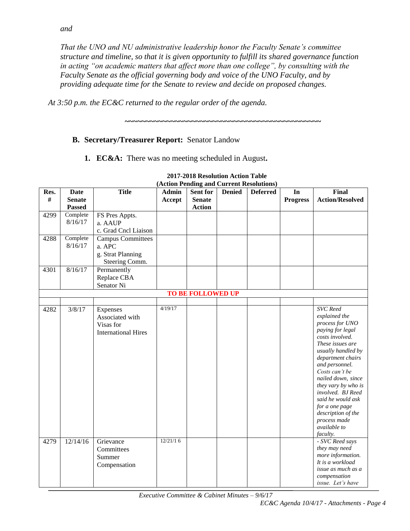*That the UNO and NU administrative leadership honor the Faculty Senate's committee structure and timeline, so that it is given opportunity to fulfill its shared governance function in acting "on academic matters that affect more than one college", by consulting with the Faculty Senate as the official governing body and voice of the UNO Faculty, and by providing adequate time for the Senate to review and decide on proposed changes.*

*At 3:50 p.m. the EC&C returned to the regular order of the agenda.*

**B. Secretary/Treasurer Report:** Senator Landow

**1. EC&A:** There was no meeting scheduled in August**.**

|      | (Action Pending and Current Resolutions) |                            |          |                          |               |                 |                 |                                     |
|------|------------------------------------------|----------------------------|----------|--------------------------|---------------|-----------------|-----------------|-------------------------------------|
| Res. | <b>Date</b>                              | <b>Title</b>               | Admin    | Sent for                 | <b>Denied</b> | <b>Deferred</b> | In              | Final                               |
| #    | <b>Senate</b>                            |                            | Accept   | <b>Senate</b>            |               |                 | <b>Progress</b> | <b>Action/Resolved</b>              |
|      | <b>Passed</b>                            |                            |          | <b>Action</b>            |               |                 |                 |                                     |
| 4299 | Complete                                 | FS Pres Appts.             |          |                          |               |                 |                 |                                     |
|      | 8/16/17                                  | a. AAUP                    |          |                          |               |                 |                 |                                     |
|      |                                          | c. Grad Cncl Liaison       |          |                          |               |                 |                 |                                     |
| 4288 | Complete                                 | <b>Campus Committees</b>   |          |                          |               |                 |                 |                                     |
|      | 8/16/17                                  | a. APC                     |          |                          |               |                 |                 |                                     |
|      |                                          | g. Strat Planning          |          |                          |               |                 |                 |                                     |
|      |                                          | Steering Comm.             |          |                          |               |                 |                 |                                     |
| 4301 | 8/16/17                                  | Permanently                |          |                          |               |                 |                 |                                     |
|      |                                          | Replace CBA                |          |                          |               |                 |                 |                                     |
|      |                                          | Senator Ni                 |          |                          |               |                 |                 |                                     |
|      |                                          |                            |          | <b>TO BE FOLLOWED UP</b> |               |                 |                 |                                     |
|      |                                          |                            |          |                          |               |                 |                 |                                     |
| 4282 | 3/8/17                                   | Expenses                   | 4/19/17  |                          |               |                 |                 | <b>SVC</b> Reed                     |
|      |                                          | Associated with            |          |                          |               |                 |                 | explained the                       |
|      |                                          | Visas for                  |          |                          |               |                 |                 | process for UNO                     |
|      |                                          | <b>International Hires</b> |          |                          |               |                 |                 | paying for legal                    |
|      |                                          |                            |          |                          |               |                 |                 | costs involved.                     |
|      |                                          |                            |          |                          |               |                 |                 | These issues are                    |
|      |                                          |                            |          |                          |               |                 |                 | usually handled by                  |
|      |                                          |                            |          |                          |               |                 |                 | department chairs<br>and personnel. |
|      |                                          |                            |          |                          |               |                 |                 | Costs can't be                      |
|      |                                          |                            |          |                          |               |                 |                 | nailed down, since                  |
|      |                                          |                            |          |                          |               |                 |                 | they vary by who is                 |
|      |                                          |                            |          |                          |               |                 |                 | involved. BJ Reed                   |
|      |                                          |                            |          |                          |               |                 |                 | said he would ask                   |
|      |                                          |                            |          |                          |               |                 |                 | for a one page                      |
|      |                                          |                            |          |                          |               |                 |                 | description of the                  |
|      |                                          |                            |          |                          |               |                 |                 | process made                        |
|      |                                          |                            |          |                          |               |                 |                 | <i>available to</i>                 |
|      |                                          |                            |          |                          |               |                 |                 | faculty.                            |
| 4279 | 12/14/16                                 | Grievance                  | 12/21/16 |                          |               |                 |                 | - SVC Reed says                     |
|      |                                          | Committees                 |          |                          |               |                 |                 | they may need                       |
|      |                                          | Summer                     |          |                          |               |                 |                 | more information.                   |
|      |                                          | Compensation               |          |                          |               |                 |                 | It is a workload                    |
|      |                                          |                            |          |                          |               |                 |                 | issue as much as a                  |
|      |                                          |                            |          |                          |               |                 |                 | compensation                        |
|      |                                          |                            |          |                          |               |                 |                 | issue. Let's have                   |

#### **2017-2018 Resolution Action Table (Action Pending and Current Resolutions)**

**~~~~~~~~~~~~~~~~~~~~~~~~~~~~~~~~~~~~~~~~~~~~~~~**

*Executive Committee & Cabinet Minutes – 9/6/17*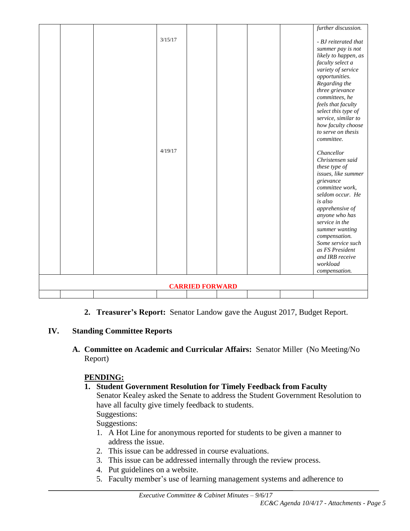|                        |  |  | 3/15/17 |  |  |  | further discussion.<br>- BJ reiterated that |
|------------------------|--|--|---------|--|--|--|---------------------------------------------|
|                        |  |  |         |  |  |  | summer pay is not<br>likely to happen, as   |
|                        |  |  |         |  |  |  | faculty select a                            |
|                        |  |  |         |  |  |  | variety of service                          |
|                        |  |  |         |  |  |  | opportunities.                              |
|                        |  |  |         |  |  |  | Regarding the                               |
|                        |  |  |         |  |  |  | three grievance                             |
|                        |  |  |         |  |  |  | committees, he                              |
|                        |  |  |         |  |  |  | feels that faculty                          |
|                        |  |  |         |  |  |  | select this type of                         |
|                        |  |  |         |  |  |  | service, similar to<br>how faculty choose   |
|                        |  |  |         |  |  |  | to serve on thesis                          |
|                        |  |  |         |  |  |  | committee.                                  |
|                        |  |  |         |  |  |  |                                             |
|                        |  |  | 4/19/17 |  |  |  | Chancellor                                  |
|                        |  |  |         |  |  |  | Christensen said                            |
|                        |  |  |         |  |  |  | these type of                               |
|                        |  |  |         |  |  |  | issues, like summer                         |
|                        |  |  |         |  |  |  | grievance<br>committee work,                |
|                        |  |  |         |  |  |  | seldom occur. He                            |
|                        |  |  |         |  |  |  | is also                                     |
|                        |  |  |         |  |  |  | apprehensive of                             |
|                        |  |  |         |  |  |  | anyone who has                              |
|                        |  |  |         |  |  |  | service in the                              |
|                        |  |  |         |  |  |  | summer wanting                              |
|                        |  |  |         |  |  |  | compensation.                               |
|                        |  |  |         |  |  |  | Some service such<br>as FS President        |
|                        |  |  |         |  |  |  | and IRB receive                             |
|                        |  |  |         |  |  |  | workload                                    |
|                        |  |  |         |  |  |  | compensation.                               |
|                        |  |  |         |  |  |  |                                             |
| <b>CARRIED FORWARD</b> |  |  |         |  |  |  |                                             |
|                        |  |  |         |  |  |  |                                             |

**2. Treasurer's Report:** Senator Landow gave the August 2017, Budget Report.

#### **IV. Standing Committee Reports**

**A. Committee on Academic and Curricular Affairs:** Senator Miller (No Meeting/No Report)

## **PENDING:**

## **1. Student Government Resolution for Timely Feedback from Faculty**

Senator Kealey asked the Senate to address the Student Government Resolution to have all faculty give timely feedback to students. Suggestions:

Suggestions:

- 1. A Hot Line for anonymous reported for students to be given a manner to address the issue.
- 2. This issue can be addressed in course evaluations.
- 3. This issue can be addressed internally through the review process.
- 4. Put guidelines on a website.
- 5. Faculty member's use of learning management systems and adherence to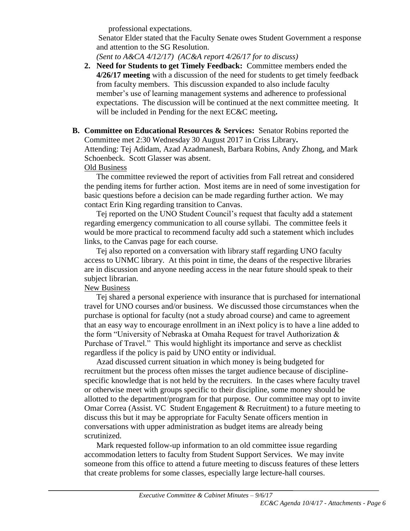professional expectations.

Senator Elder stated that the Faculty Senate owes Student Government a response and attention to the SG Resolution.

*(Sent to A&CA 4/12/17) (AC&A report 4/26/17 for to discuss)*

**2. Need for Students to get Timely Feedback:** Committee members ended the **4/26/17 meeting** with a discussion of the need for students to get timely feedback from faculty members. This discussion expanded to also include faculty member's use of learning management systems and adherence to professional expectations. The discussion will be continued at the next committee meeting. It will be included in Pending for the next EC&C meeting**.**

#### **B. Committee on Educational Resources & Services:** Senator Robins reported the Committee met 2:30 Wednesday 30 August 2017 in Criss Library**.**

Attending: Tej Adidam, Azad Azadmanesh, Barbara Robins, Andy Zhong, and Mark Schoenbeck. Scott Glasser was absent.

#### Old Business

The committee reviewed the report of activities from Fall retreat and considered the pending items for further action. Most items are in need of some investigation for basic questions before a decision can be made regarding further action. We may contact Erin King regarding transition to Canvas.

Tej reported on the UNO Student Council's request that faculty add a statement regarding emergency communication to all course syllabi. The committee feels it would be more practical to recommend faculty add such a statement which includes links, to the Canvas page for each course.

Tej also reported on a conversation with library staff regarding UNO faculty access to UNMC library. At this point in time, the deans of the respective libraries are in discussion and anyone needing access in the near future should speak to their subject librarian.

#### New Business

Tej shared a personal experience with insurance that is purchased for international travel for UNO courses and/or business. We discussed those circumstances when the purchase is optional for faculty (not a study abroad course) and came to agreement that an easy way to encourage enrollment in an iNext policy is to have a line added to the form "University of Nebraska at Omaha Request for travel Authorization & Purchase of Travel." This would highlight its importance and serve as checklist regardless if the policy is paid by UNO entity or individual.

Azad discussed current situation in which money is being budgeted for recruitment but the process often misses the target audience because of disciplinespecific knowledge that is not held by the recruiters. In the cases where faculty travel or otherwise meet with groups specific to their discipline, some money should be allotted to the department/program for that purpose. Our committee may opt to invite Omar Correa (Assist. VC Student Engagement  $\&$  Recruitment) to a future meeting to discuss this but it may be appropriate for Faculty Senate officers mention in conversations with upper administration as budget items are already being scrutinized.

Mark requested follow-up information to an old committee issue regarding accommodation letters to faculty from Student Support Services. We may invite someone from this office to attend a future meeting to discuss features of these letters that create problems for some classes, especially large lecture-hall courses.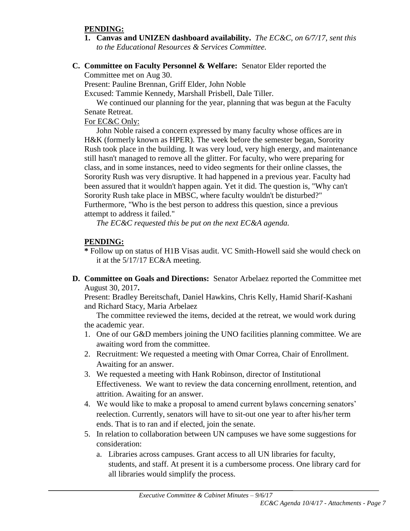#### **PENDING:**

- **1. Canvas and UNIZEN dashboard availability.** *The EC&C, on 6/7/17, sent this to the Educational Resources & Services Committee.*
- **C. Committee on Faculty Personnel & Welfare:** Senator Elder reported the Committee met on Aug 30.

Present: Pauline Brennan, Griff Elder, John Noble

Excused: Tammie Kennedy, Marshall Prisbell, Dale Tiller.

We continued our planning for the year, planning that was begun at the Faculty Senate Retreat.

#### For EC&C Only:

John Noble raised a concern expressed by many faculty whose offices are in H&K (formerly known as HPER). The week before the semester began, Sorority Rush took place in the building. It was very loud, very high energy, and maintenance still hasn't managed to remove all the glitter. For faculty, who were preparing for class, and in some instances, need to video segments for their online classes, the Sorority Rush was very disruptive. It had happened in a previous year. Faculty had been assured that it wouldn't happen again. Yet it did. The question is, "Why can't Sorority Rush take place in MBSC, where faculty wouldn't be disturbed?" Furthermore, "Who is the best person to address this question, since a previous attempt to address it failed."

*The EC&C requested this be put on the next EC&A agenda.*

#### **PENDING:**

- **\*** Follow up on status of H1B Visas audit. VC Smith-Howell said she would check on it at the 5/17/17 EC&A meeting.
- **D. Committee on Goals and Directions:** Senator Arbelaez reported the Committee met August 30, 2017**.**

Present: Bradley Bereitschaft, Daniel Hawkins, Chris Kelly, Hamid Sharif-Kashani and Richard Stacy, Maria Arbelaez

The committee reviewed the items, decided at the retreat, we would work during the academic year.

- 1. One of our G&D members joining the UNO facilities planning committee. We are awaiting word from the committee.
- 2. Recruitment: We requested a meeting with Omar Correa, Chair of Enrollment. Awaiting for an answer.
- 3. We requested a meeting with Hank Robinson, director of Institutional Effectiveness. We want to review the data concerning enrollment, retention, and attrition. Awaiting for an answer.
- 4. We would like to make a proposal to amend current bylaws concerning senators' reelection. Currently, senators will have to sit-out one year to after his/her term ends. That is to ran and if elected, join the senate.
- 5. In relation to collaboration between UN campuses we have some suggestions for consideration:
	- a. Libraries across campuses. Grant access to all UN libraries for faculty, students, and staff. At present it is a cumbersome process. One library card for all libraries would simplify the process.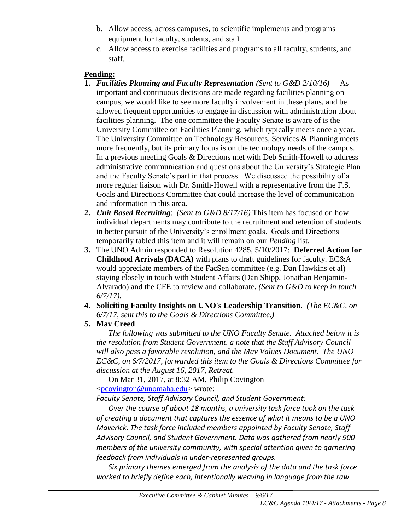- b. Allow access, across campuses, to scientific implements and programs equipment for faculty, students, and staff.
- c. Allow access to exercise facilities and programs to all faculty, students, and staff.

#### **Pending:**

- **1.** *Facilities Planning and Faculty Representation (Sent to G&D 2/10/16)* As important and continuous decisions are made regarding facilities planning on campus, we would like to see more faculty involvement in these plans, and be allowed frequent opportunities to engage in discussion with administration about facilities planning. The one committee the Faculty Senate is aware of is the University Committee on Facilities Planning, which typically meets once a year. The University Committee on Technology Resources, Services & Planning meets more frequently, but its primary focus is on the technology needs of the campus. In a previous meeting Goals & Directions met with Deb Smith-Howell to address administrative communication and questions about the University's Strategic Plan and the Faculty Senate's part in that process. We discussed the possibility of a more regular liaison with Dr. Smith-Howell with a representative from the F.S. Goals and Directions Committee that could increase the level of communication and information in this area**.**
- **2.** *Unit Based Recruiting*: *(Sent to G&D 8/17/16)* This item has focused on how individual departments may contribute to the recruitment and retention of students in better pursuit of the University's enrollment goals. Goals and Directions temporarily tabled this item and it will remain on our *Pending* list.
- **3.** The UNO Admin responded to Resolution 4285, 5/10/2017: **Deferred Action for Childhood Arrivals (DACA)** with plans to draft guidelines for faculty. EC&A would appreciate members of the FacSen committee (e.g. Dan Hawkins et al) staying closely in touch with Student Affairs (Dan Shipp, Jonathan Benjamin-Alvarado) and the CFE to review and collaborate**.** *(Sent to G&D to keep in touch 6/7/17)***.**
- **4. Soliciting Faculty Insights on UNO's Leadership Transition.** *(The EC&C, on 6/7/17, sent this to the Goals & Directions Committee.)*
- **5. Mav Creed**

*The following was submitted to the UNO Faculty Senate. Attached below it is the resolution from Student Government, a note that the Staff Advisory Council will also pass a favorable resolution, and the Mav Values Document. The UNO EC&C, on 6/7/2017, forwarded this item to the Goals & Directions Committee for discussion at the August 16, 2017, Retreat.*

On Mar 31, 2017, at 8:32 AM, Philip Covington [<pcovington@unomaha.edu>](mailto:pcovington@unomaha.edu) wrote:

*Faculty Senate, Staff Advisory Council, and Student Government:*

*Over the course of about 18 months, a university task force took on the task of creating a document that captures the essence of what it means to be a UNO Maverick. The task force included members appointed by Faculty Senate, Staff Advisory Council, and Student Government. Data was gathered from nearly 900 members of the university community, with special attention given to garnering feedback from individuals in under-represented groups.*

*Six primary themes emerged from the analysis of the data and the task force worked to briefly define each, intentionally weaving in language from the raw*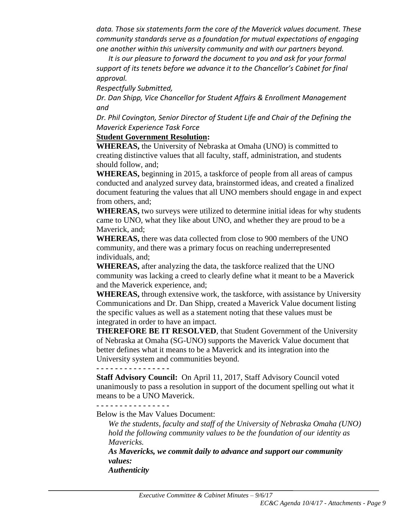*data. Those six statements form the core of the Maverick values document. These community standards serve as a foundation for mutual expectations of engaging one another within this university community and with our partners beyond.*

*It is our pleasure to forward the document to you and ask for your formal support of its tenets before we advance it to the Chancellor's Cabinet for final approval.*

*Respectfully Submitted,*

*Dr. Dan Shipp, Vice Chancellor for Student Affairs & Enrollment Management and*

*Dr. Phil Covington, Senior Director of Student Life and Chair of the Defining the Maverick Experience Task Force*

#### **Student Government Resolution:**

**WHEREAS,** the University of Nebraska at Omaha (UNO) is committed to creating distinctive values that all faculty, staff, administration, and students should follow, and;

**WHEREAS,** beginning in 2015, a taskforce of people from all areas of campus conducted and analyzed survey data, brainstormed ideas, and created a finalized document featuring the values that all UNO members should engage in and expect from others, and;

**WHEREAS,** two surveys were utilized to determine initial ideas for why students came to UNO, what they like about UNO, and whether they are proud to be a Maverick, and;

**WHEREAS,** there was data collected from close to 900 members of the UNO community, and there was a primary focus on reaching underrepresented individuals, and;

**WHEREAS,** after analyzing the data, the taskforce realized that the UNO community was lacking a creed to clearly define what it meant to be a Maverick and the Maverick experience, and;

**WHEREAS,** through extensive work, the taskforce, with assistance by University Communications and Dr. Dan Shipp, created a Maverick Value document listing the specific values as well as a statement noting that these values must be integrated in order to have an impact.

**THEREFORE BE IT RESOLVED**, that Student Government of the University of Nebraska at Omaha (SG-UNO) supports the Maverick Value document that better defines what it means to be a Maverick and its integration into the University system and communities beyond.

**- - - - - - - - - - - - - - - -**

**Staff Advisory Council:** On April 11, 2017, Staff Advisory Council voted unanimously to pass a resolution in support of the document spelling out what it means to be a UNO Maverick.

**- - - - - - - - - - - - - - - -**

Below is the Mav Values Document:

*We the students, faculty and staff of the University of Nebraska Omaha (UNO) hold the following community values to be the foundation of our identity as Mavericks.*

*As Mavericks, we commit daily to advance and support our community values: Authenticity*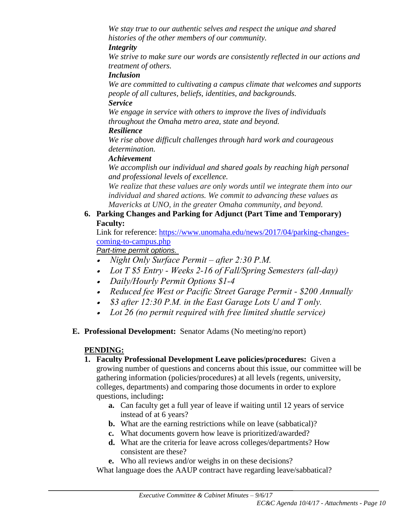*We stay true to our authentic selves and respect the unique and shared histories of the other members of our community.*

#### *Integrity*

*We strive to make sure our words are consistently reflected in our actions and treatment of others.*

#### *Inclusion*

*We are committed to cultivating a campus climate that welcomes and supports people of all cultures, beliefs, identities, and backgrounds.*

#### *Service*

*We engage in service with others to improve the lives of individuals throughout the Omaha metro area, state and beyond.* 

#### *Resilience*

*We rise above difficult challenges through hard work and courageous determination.* 

#### *Achievement*

*We accomplish our individual and shared goals by reaching high personal and professional levels of excellence.*

*We realize that these values are only words until we integrate them into our individual and shared actions. We commit to advancing these values as Mavericks at UNO, in the greater Omaha community, and beyond.*

#### **6. Parking Changes and Parking for Adjunct (Part Time and Temporary) Faculty:**

Link for reference: [https://www.unomaha.edu/news/2017/04/parking-changes](https://www.unomaha.edu/news/2017/04/parking-changes-coming-to-campus.php)[coming-to-campus.php](https://www.unomaha.edu/news/2017/04/parking-changes-coming-to-campus.php)

#### *Part-time permit options.*

- *Night Only Surface Permit – after 2:30 P.M.*
- *Lot T \$5 Entry - Weeks 2-16 of Fall/Spring Semesters (all-day)*
- *Daily/Hourly Permit Options \$1-4*
- *Reduced fee West or Pacific Street Garage Permit - \$200 Annually*
- *\$3 after 12:30 P.M. in the East Garage Lots U and T only.*
- *Lot 26 (no permit required with free limited shuttle service)*
- **E. Professional Development:** Senator Adams (No meeting/no report)

#### **PENDING:**

- **1. Faculty Professional Development Leave policies/procedures:** Given a growing number of questions and concerns about this issue, our committee will be gathering information (policies/procedures) at all levels (regents, university, colleges, departments) and comparing those documents in order to explore questions, including**:** 
	- **a.** Can faculty get a full year of leave if waiting until 12 years of service instead of at 6 years?
	- **b.** What are the earning restrictions while on leave (sabbatical)?
	- **c.** What documents govern how leave is prioritized/awarded?
	- **d.** What are the criteria for leave across colleges/departments? How consistent are these?
	- **e.** Who all reviews and/or weighs in on these decisions?

What language does the AAUP contract have regarding leave/sabbatical?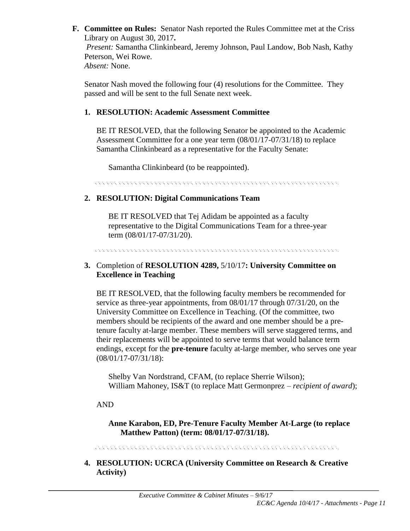**F. Committee on Rules:** Senator Nash reported the Rules Committee met at the Criss Library on August 30, 2017**.** *Present:* Samantha Clinkinbeard, Jeremy Johnson, Paul Landow, Bob Nash, Kathy Peterson, Wei Rowe. *Absent:* None.

Senator Nash moved the following four (4) resolutions for the Committee. They passed and will be sent to the full Senate next week.

#### **1. RESOLUTION: Academic Assessment Committee**

BE IT RESOLVED, that the following Senator be appointed to the Academic Assessment Committee for a one year term (08/01/17-07/31/18) to replace Samantha Clinkinbeard as a representative for the Faculty Senate:

Samantha Clinkinbeard (to be reappointed).

. El estado estado estado estado estado estado estado estado estado estado estado estado estado estado estado

#### **2. RESOLUTION: Digital Communications Team**

BE IT RESOLVED that Tej Adidam be appointed as a faculty representative to the Digital Communications Team for a three-year term (08/01/17-07/31/20).

. A construction of the construction of the construction of the construction of the construction of the construction

#### **3.** Completion of **RESOLUTION 4289,** 5/10/17**: University Committee on Excellence in Teaching**

BE IT RESOLVED, that the following faculty members be recommended for service as three-year appointments, from 08/01/17 through 07/31/20, on the University Committee on Excellence in Teaching. (Of the committee, two members should be recipients of the award and one member should be a pretenure faculty at-large member. These members will serve staggered terms, and their replacements will be appointed to serve terms that would balance term endings, except for the **pre-tenure** faculty at-large member, who serves one year (08/01/17-07/31/18):

Shelby Van Nordstrand, CFAM, (to replace Sherrie Wilson); William Mahoney, IS&T (to replace Matt Germonprez – *recipient of award*);

#### AND

**Anne Karabon, ED, Pre-Tenure Faculty Member At-Large (to replace Matthew Patton) (term: 08/01/17-07/31/18).**

. A construction of the construction of the construction of the construction of the construction of the construction

**4. RESOLUTION: UCRCA (University Committee on Research & Creative Activity)**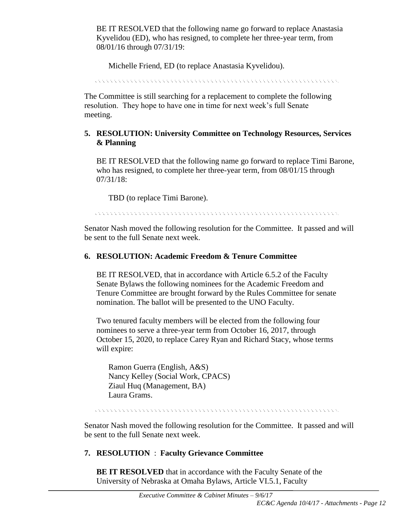BE IT RESOLVED that the following name go forward to replace Anastasia Kyvelidou (ED), who has resigned, to complete her three-year term, from 08/01/16 through 07/31/19:

Michelle Friend, ED (to replace Anastasia Kyvelidou).

**CONSTRUCT** .<br>Kabupatèn Kabupatèn Kabupatèn Kabupatèn Kabupatèn Kabupatèn Kabupatèn Kabupatèn Kabupatèn Kabupatèn Kabupatèn

The Committee is still searching for a replacement to complete the following resolution. They hope to have one in time for next week's full Senate meeting.

#### **5. RESOLUTION: University Committee on Technology Resources, Services & Planning**

BE IT RESOLVED that the following name go forward to replace Timi Barone, who has resigned, to complete her three-year term, from 08/01/15 through 07/31/18:

TBD (to replace Timi Barone).

. The contract of the contract of the contract of the contract of the contract of the contract of the contract

Senator Nash moved the following resolution for the Committee. It passed and will be sent to the full Senate next week.

#### **6. RESOLUTION: Academic Freedom & Tenure Committee**

BE IT RESOLVED, that in accordance with Article 6.5.2 of the Faculty Senate Bylaws the following nominees for the Academic Freedom and Tenure Committee are brought forward by the Rules Committee for senate nomination. The ballot will be presented to the UNO Faculty.

Two tenured faculty members will be elected from the following four nominees to serve a three-year term from October 16, 2017, through October 15, 2020, to replace Carey Ryan and Richard Stacy, whose terms will expire:

Ramon Guerra (English, A&S) Nancy Kelley (Social Work, CPACS) Ziaul Huq (Management, BA) Laura Grams.

Senator Nash moved the following resolution for the Committee. It passed and will be sent to the full Senate next week.

## **7. RESOLUTION** : **Faculty Grievance Committee**

**BE IT RESOLVED** that in accordance with the Faculty Senate of the University of Nebraska at Omaha Bylaws, Article VI.5.1, Faculty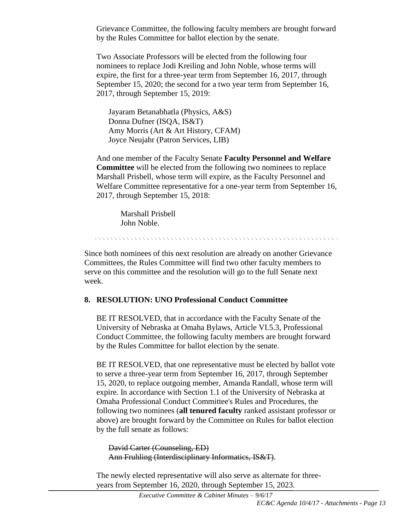Grievance Committee, the following faculty members are brought forward by the Rules Committee for ballot election by the senate.

Two Associate Professors will be elected from the following four nominees to replace Jodi Kreiling and John Noble, whose terms will expire, the first for a three-year term from September 16, 2017, through September 15, 2020; the second for a two year term from September 16, 2017, through September 15, 2019:

Jayaram Betanabhatla (Physics, A&S) Donna Dufner (ISQA, IS&T) Amy Morris (Art & Art History, CFAM) Joyce Neujahr (Patron Services, LIB)

And one member of the Faculty Senate **Faculty Personnel and Welfare Committee** will be elected from the following two nominees to replace Marshall Prisbell, whose term will expire, as the Faculty Personnel and Welfare Committee representative for a one-year term from September 16, 2017, through September 15, 2018:

> Marshall Prisbell John Noble.

Since both nominees of this next resolution are already on another Grievance Committees, the Rules Committee will find two other faculty members to serve on this committee and the resolution will go to the full Senate next week.

#### **8. RESOLUTION: UNO Professional Conduct Committee**

BE IT RESOLVED, that in accordance with the Faculty Senate of the University of Nebraska at Omaha Bylaws, Article VI.5.3, Professional Conduct Committee, the following faculty members are brought forward by the Rules Committee for ballot election by the senate.

BE IT RESOLVED, that one representative must be elected by ballot vote to serve a three-year term from September 16, 2017, through September 15, 2020, to replace outgoing member, Amanda Randall, whose term will expire. In accordance with Section 1.1 of the University of Nebraska at Omaha Professional Conduct Committee's Rules and Procedures, the following two nominees (**all tenured faculty** ranked assistant professor or above) are brought forward by the Committee on Rules for ballot election by the full senate as follows:

David Carter (Counseling, ED) Ann Fruhling (Interdisciplinary Informatics, IS&T).

The newly elected representative will also serve as alternate for threeyears from September 16, 2020, through September 15, 2023.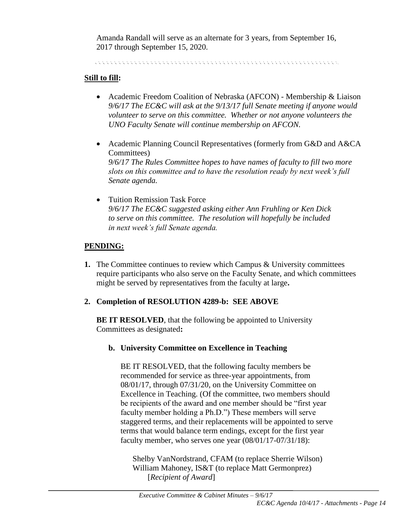Amanda Randall will serve as an alternate for 3 years, from September 16, 2017 through September 15, 2020.

e de la decada de la decada de la decada de la decada de la decada de la decada de la decada de la decada de l

#### **Still to fill:**

- Academic Freedom Coalition of Nebraska (AFCON) Membership & Liaison *9/6/17 The EC&C will ask at the 9/13/17 full Senate meeting if anyone would volunteer to serve on this committee. Whether or not anyone volunteers the UNO Faculty Senate will continue membership on AFCON.*
- Academic Planning Council Representatives (formerly from G&D and A&CA Committees) *9/6/17 The Rules Committee hopes to have names of faculty to fill two more slots on this committee and to have the resolution ready by next week's full Senate agenda.*
- Tuition Remission Task Force *9/6/17 The EC&C suggested asking either Ann Fruhling or Ken Dick to serve on this committee. The resolution will hopefully be included in next week's full Senate agenda.*

#### **PENDING:**

**1.** The Committee continues to review which Campus & University committees require participants who also serve on the Faculty Senate, and which committees might be served by representatives from the faculty at large**.** 

#### **2. Completion of RESOLUTION 4289-b: SEE ABOVE**

**BE IT RESOLVED**, that the following be appointed to University Committees as designated**:** 

**b. University Committee on Excellence in Teaching** 

BE IT RESOLVED, that the following faculty members be recommended for service as three-year appointments, from 08/01/17, through 07/31/20, on the University Committee on Excellence in Teaching. (Of the committee, two members should be recipients of the award and one member should be "first year faculty member holding a Ph.D.") These members will serve staggered terms, and their replacements will be appointed to serve terms that would balance term endings, except for the first year faculty member, who serves one year (08/01/17-07/31/18):

Shelby VanNordstrand, CFAM (to replace Sherrie Wilson) William Mahoney, IS&T (to replace Matt Germonprez) [*Recipient of Award*]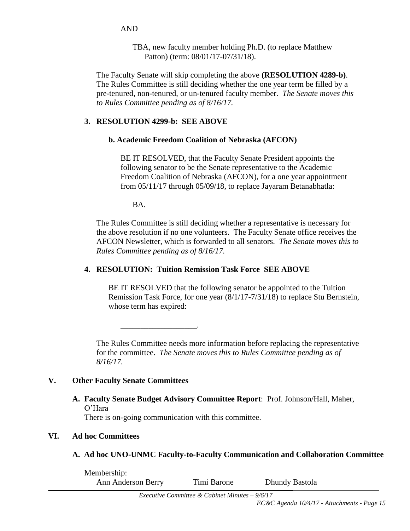AND

TBA, new faculty member holding Ph.D. (to replace Matthew Patton) (term: 08/01/17-07/31/18).

The Faculty Senate will skip completing the above **(RESOLUTION 4289-b)**. The Rules Committee is still deciding whether the one year term be filled by a pre-tenured, non-tenured, or un-tenured faculty member. *The Senate moves this to Rules Committee pending as of 8/16/17.*

#### **3. RESOLUTION 4299-b: SEE ABOVE**

#### **b. Academic Freedom Coalition of Nebraska (AFCON)**

BE IT RESOLVED, that the Faculty Senate President appoints the following senator to be the Senate representative to the Academic Freedom Coalition of Nebraska (AFCON), for a one year appointment from 05/11/17 through 05/09/18, to replace Jayaram Betanabhatla:

BA.

The Rules Committee is still deciding whether a representative is necessary for the above resolution if no one volunteers. The Faculty Senate office receives the AFCON Newsletter, which is forwarded to all senators. *The Senate moves this to Rules Committee pending as of 8/16/17.*

#### **4. RESOLUTION: Tuition Remission Task Force SEE ABOVE**

BE IT RESOLVED that the following senator be appointed to the Tuition Remission Task Force, for one year (8/1/17-7/31/18) to replace Stu Bernstein, whose term has expired:

The Rules Committee needs more information before replacing the representative for the committee. *The Senate moves this to Rules Committee pending as of 8/16/17.*

#### **V. Other Faculty Senate Committees**

**A. Faculty Senate Budget Advisory Committee Report**: Prof. Johnson/Hall, Maher, O'Hara

There is on-going communication with this committee.

\_\_\_\_\_\_\_\_\_\_\_\_\_\_\_\_\_\_\_.

## **VI. Ad hoc Committees**

**A. Ad hoc UNO-UNMC Faculty-to-Faculty Communication and Collaboration Committee**

Membership: Ann Anderson Berry Timi Barone Dhundy Bastola

*Executive Committee & Cabinet Minutes – 9/6/17*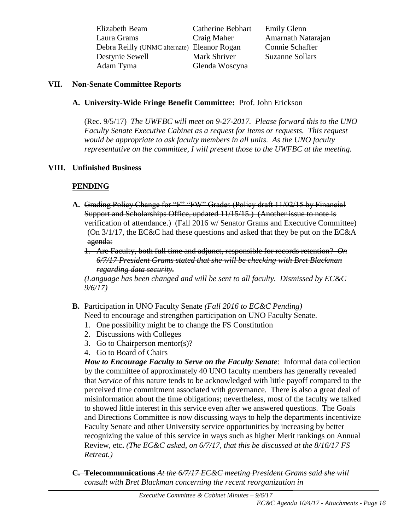| Elizabeth Beam                              | Catherine Bebhart | <b>Emily Glenn</b>     |
|---------------------------------------------|-------------------|------------------------|
| Laura Grams                                 | Craig Maher       | Amarnath Natarajan     |
| Debra Reilly (UNMC alternate) Eleanor Rogan |                   | Connie Schaffer        |
| Destynie Sewell                             | Mark Shriver      | <b>Suzanne Sollars</b> |
| Adam Tyma                                   | Glenda Woscyna    |                        |

#### **VII. Non-Senate Committee Reports**

#### **A. University-Wide Fringe Benefit Committee:** Prof. John Erickson

(Rec. 9/5/17) *The UWFBC will meet on 9-27-2017. Please forward this to the UNO Faculty Senate Executive Cabinet as a request for items or requests. This request would be appropriate to ask faculty members in all units. As the UNO faculty representative on the committee, I will present those to the UWFBC at the meeting.* 

#### **VIII. Unfinished Business**

#### **PENDING**

**A.** Grading Policy Change for "F" "FW" Grades (Policy draft 11/02/15 by Financial Support and Scholarships Office, updated 11/15/15.) (Another issue to note is verification of attendance.) (Fall 2016 w/ Senator Grams and Executive Committee) (On 3/1/17, the EC&C had these questions and asked that they be put on the EC&A agenda:

1. Are Faculty, both full time and adjunct, responsible for records retention? *On 6/7/17 President Grams stated that she will be checking with Bret Blackman regarding data security.*

*(Language has been changed and will be sent to all faculty. Dismissed by EC&C 9/6/17)*

- **B.** Participation in UNO Faculty Senate *(Fall 2016 to EC&C Pending)* Need to encourage and strengthen participation on UNO Faculty Senate.
	- 1. One possibility might be to change the FS Constitution
	- 2. Discussions with Colleges
	- 3. Go to Chairperson mentor(s)?
	- 4. Go to Board of Chairs

*How to Encourage Faculty to Serve on the Faculty Senate*: Informal data collection by the committee of approximately 40 UNO faculty members has generally revealed that *Service* of this nature tends to be acknowledged with little payoff compared to the perceived time commitment associated with governance. There is also a great deal of misinformation about the time obligations; nevertheless, most of the faculty we talked to showed little interest in this service even after we answered questions. The Goals and Directions Committee is now discussing ways to help the departments incentivize Faculty Senate and other University service opportunities by increasing by better recognizing the value of this service in ways such as higher Merit rankings on Annual Review, etc**.** *(The EC&C asked, on 6/7/17, that this be discussed at the 8/16/17 FS Retreat.)*

**C. Telecommunications** *At the 6/7/17 EC&C meeting President Grams said she will consult with Bret Blackman concerning the recent reorganization in*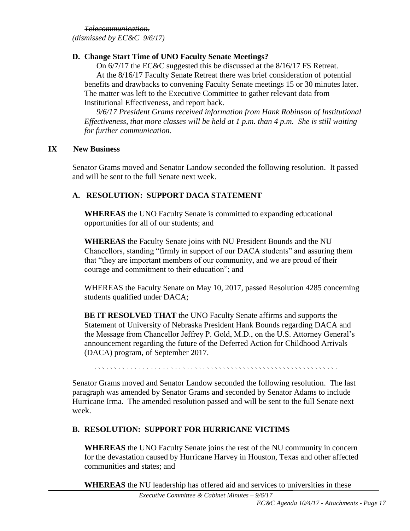*Telecommunication.*

*(dismissed by EC&C 9/6/17)*

#### **D. Change Start Time of UNO Faculty Senate Meetings?**

On 6/7/17 the EC&C suggested this be discussed at the 8/16/17 FS Retreat. At the 8/16/17 Faculty Senate Retreat there was brief consideration of potential benefits and drawbacks to convening Faculty Senate meetings 15 or 30 minutes later. The matter was left to the Executive Committee to gather relevant data from Institutional Effectiveness, and report back.

*9/6/17 President Grams received information from Hank Robinson of Institutional Effectiveness, that more classes will be held at 1 p.m. than 4 p.m. She is still waiting for further communication.*

#### **IX New Business**

Senator Grams moved and Senator Landow seconded the following resolution. It passed and will be sent to the full Senate next week.

#### **A. RESOLUTION: SUPPORT DACA STATEMENT**

**WHEREAS** the UNO Faculty Senate is committed to expanding educational opportunities for all of our students; and

**WHEREAS** the Faculty Senate joins with NU President Bounds and the NU Chancellors, standing "firmly in support of our DACA students" and assuring them that "they are important members of our community, and we are proud of their courage and commitment to their education"; and

WHEREAS the Faculty Senate on May 10, 2017, passed Resolution 4285 concerning students qualified under DACA;

**BE IT RESOLVED THAT** the UNO Faculty Senate affirms and supports the Statement of University of Nebraska President Hank Bounds regarding DACA and the Message from Chancellor Jeffrey P. Gold, M.D., on the U.S. Attorney General's announcement regarding the future of the Deferred Action for Childhood Arrivals (DACA) program, of September 2017.

a de la caractería de la caractería de la caractería de la caractería de la caractería de la caractería de la

Senator Grams moved and Senator Landow seconded the following resolution. The last paragraph was amended by Senator Grams and seconded by Senator Adams to include Hurricane Irma. The amended resolution passed and will be sent to the full Senate next week.

#### **B. RESOLUTION: SUPPORT FOR HURRICANE VICTIMS**

**WHEREAS** the UNO Faculty Senate joins the rest of the NU community in concern for the devastation caused by Hurricane Harvey in Houston, Texas and other affected communities and states; and

**WHEREAS** the NU leadership has offered aid and services to universities in these